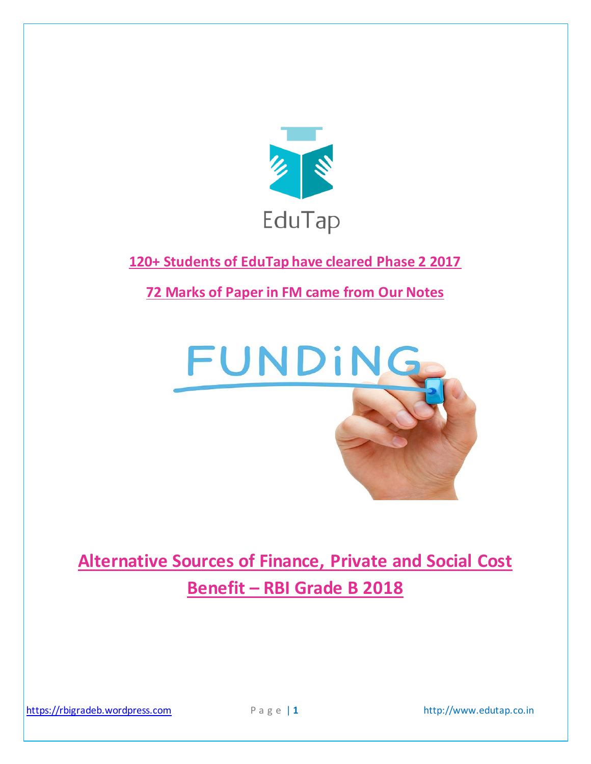

# **120+ Students of EduTap have cleared Phase 2 2017**

**72 Marks of Paper in FM came from Our Notes**



# **Alternative Sources of Finance, Private and Social Cost Benefit – RBI Grade B 2018**

[https://rbigradeb.wordpress.com](https://rbigradeb.wordpress.com/) P a g e | 1 http://www.edutap.co.in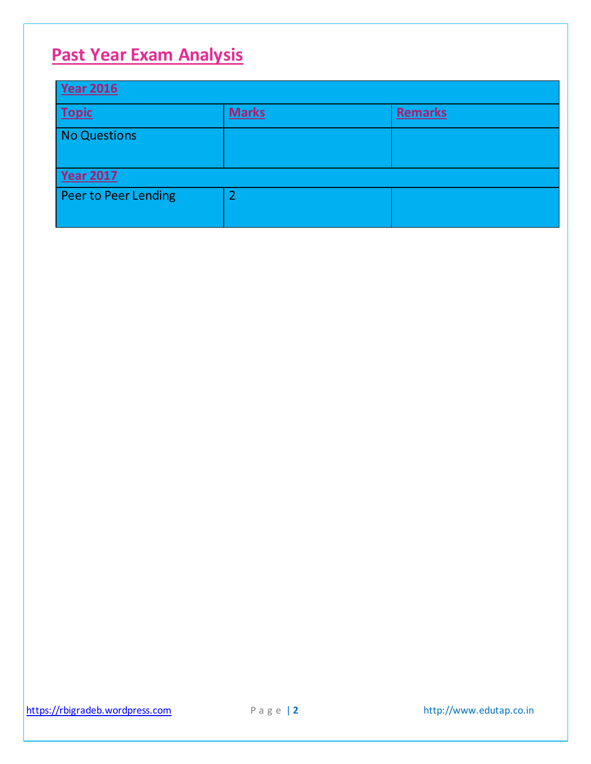# **Past Year Exam Analysis**

| <b>Year 2016</b>     |                |                |  |  |
|----------------------|----------------|----------------|--|--|
| <b>Topic</b>         | <b>Marks</b>   | <b>Remarks</b> |  |  |
| No Questions         |                |                |  |  |
|                      |                |                |  |  |
| <b>Year 2017</b>     |                |                |  |  |
| Peer to Peer Lending | $\overline{2}$ |                |  |  |
|                      |                |                |  |  |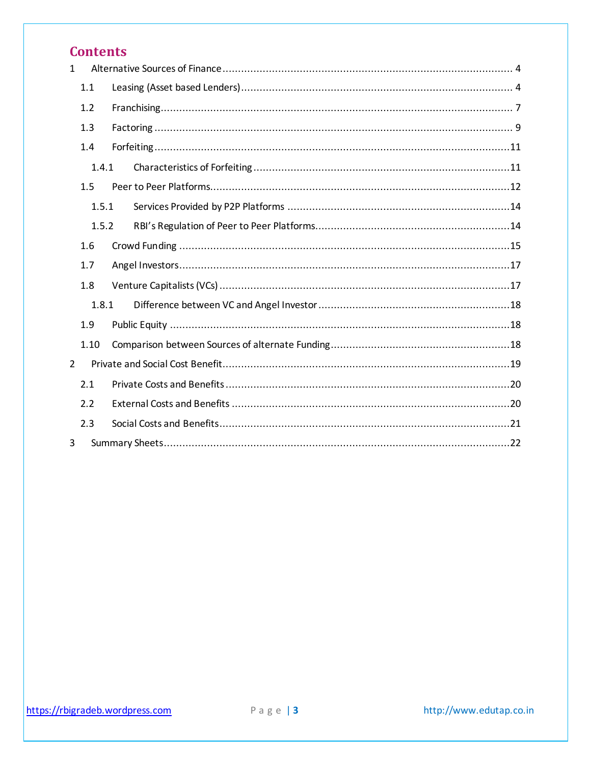# **Contents**

| $\mathbf{1}$   |       |  |  |  |  |  |
|----------------|-------|--|--|--|--|--|
|                | 1.1   |  |  |  |  |  |
|                | 1.2   |  |  |  |  |  |
|                | 1.3   |  |  |  |  |  |
|                | 1.4   |  |  |  |  |  |
|                | 1.4.1 |  |  |  |  |  |
|                | 1.5   |  |  |  |  |  |
|                | 1.5.1 |  |  |  |  |  |
|                | 1.5.2 |  |  |  |  |  |
|                | 1.6   |  |  |  |  |  |
|                | 1.7   |  |  |  |  |  |
|                | 1.8   |  |  |  |  |  |
|                | 1.8.1 |  |  |  |  |  |
|                | 1.9   |  |  |  |  |  |
|                | 1.10  |  |  |  |  |  |
| $\overline{2}$ |       |  |  |  |  |  |
|                | 2.1   |  |  |  |  |  |
|                | 2.2   |  |  |  |  |  |
|                | 2.3   |  |  |  |  |  |
| 3              |       |  |  |  |  |  |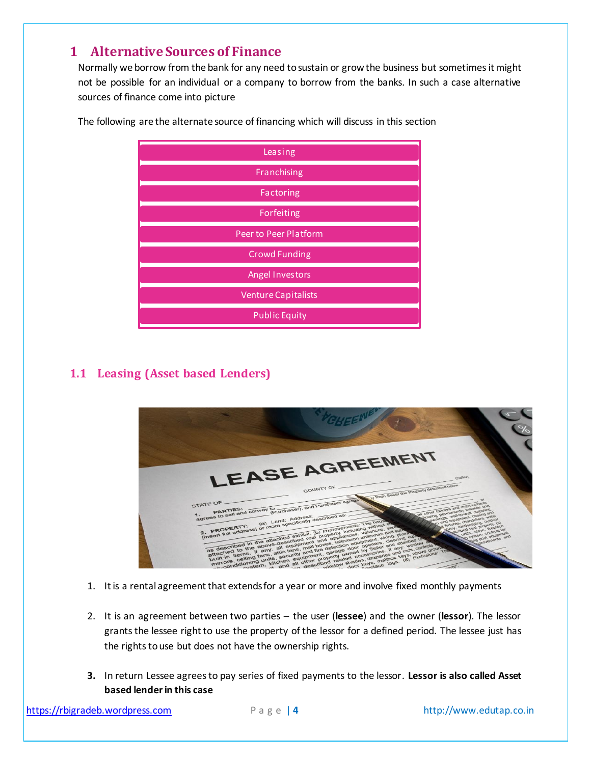# <span id="page-3-0"></span>**1 Alternative Sources of Finance**

Normally we borrow from the bank for any need to sustain or grow the business but sometimes it might not be possible for an individual or a company to borrow from the banks. In such a case alternative sources of finance come into picture

| Leasing                    |
|----------------------------|
| Franchising                |
| Factoring                  |
| Forfeiting                 |
| Peer to Peer Platform      |
| <b>Crowd Funding</b>       |
| Angel Investors            |
| <b>Venture Capitalists</b> |
| <b>Public Equity</b>       |

The following are the alternate source of financing which will discuss in this section

# <span id="page-3-1"></span>**1.1 Leasing (Asset based Lenders)**



- 1. It is a rental agreement that extends for a year or more and involve fixed monthly payments
- 2. It is an agreement between two parties the user (**lessee**) and the owner (**lessor**). The lessor grants the lessee right to use the property of the lessor for a defined period. The lessee just has the rights to use but does not have the ownership rights.
- **3.** In return Lessee agrees to pay series of fixed payments to the lessor. **Lessor is also called Asset based lender in this case**

[https://rbigradeb.wordpress.com](https://rbigradeb.wordpress.com/) **Page | 4** http://www.edutap.co.in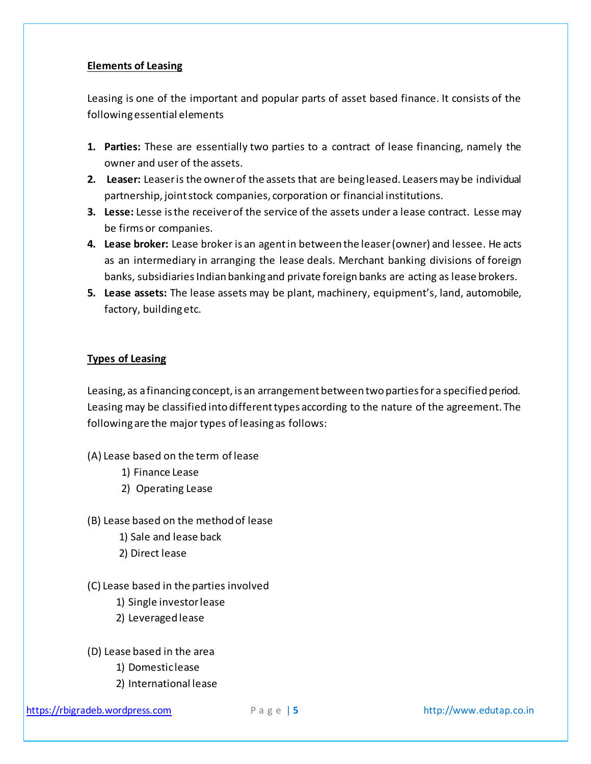#### **Elements of Leasing**

Leasing is one of the important and popular parts of asset based finance. It consists of the following essential elements

- **1. Parties:** These are essentially two parties to a contract of lease financing, namely the owner and user of the assets.
- **2. Leaser:** Leaser is the owner of the assets that are being leased. Leasers may be individual partnership, joint stock companies, corporation or financial institutions.
- **3. Lesse:** Lesse is the receiver of the service of the assets under a lease contract. Lesse may be firms or companies.
- **4. Lease broker:** Lease broker is an agent in between the leaser (owner) and lessee. He acts as an intermediary in arranging the lease deals. Merchant banking divisions of foreign banks, subsidiaries Indian banking and private foreign banks are acting as lease brokers.
- **5. Lease assets:** The lease assets may be plant, machinery, equipment's, land, automobile, factory, building etc.

#### **Types of Leasing**

Leasing, as a financing concept, is an arrangement between two parties for a specified period. Leasing may be classified into different types according to the nature of the agreement. The following are the major types of leasing as follows:

- (A) Lease based on the term of lease
	- 1) Finance Lease
	- 2) Operating Lease
- (B) Lease based on the method of lease
	- 1) Sale and lease back
	- 2) Direct lease
- (C) Lease based in the parties involved
	- 1) Single investor lease
	- 2) Leveraged lease
- (D) Lease based in the area
	- 1) Domestic lease
	- 2) International lease

[https://rbigradeb.wordpress.com](https://rbigradeb.wordpress.com/) P a g e | **5** http://www.edutap.co.in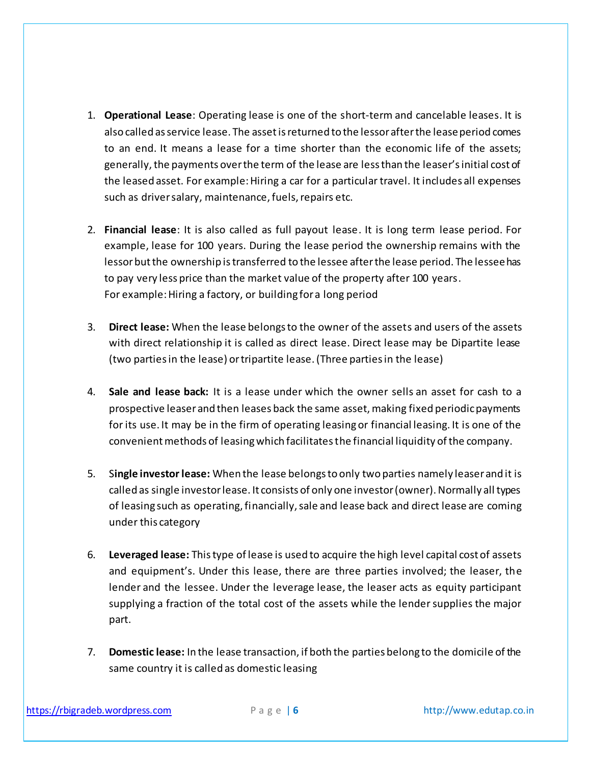- 1. **Operational Lease**: Operating lease is one of the short-term and cancelable leases. It is also called as service lease. The asset is returned to the lessor after the lease period comes to an end. It means a lease for a time shorter than the economic life of the assets; generally, the payments over the term of the lease are less than the leaser's initial cost of the leased asset. For example: Hiring a car for a particular travel. It includes all expenses such as driver salary, maintenance, fuels, repairs etc.
- 2. **Financial lease**: It is also called as full payout lease. It is long term lease period. For example, lease for 100 years. During the lease period the ownership remains with the lessor but the ownership is transferred to the lessee after the lease period. The lessee has to pay very less price than the market value of the property after 100 years. For example: Hiring a factory, or building for a long period
- 3. **Direct lease:** When the lease belongs to the owner of the assets and users of the assets with direct relationship it is called as direct lease. Direct lease may be Dipartite lease (two parties in the lease) or tripartite lease. (Three parties in the lease)
- 4. **Sale and lease back:** It is a lease under which the owner sells an asset for cash to a prospective leaser and then leases back the same asset, making fixed periodic payments for its use. It may be in the firm of operating leasing or financial leasing. It is one of the convenient methods of leasing which facilitates the financial liquidity of the company.
- 5. S**ingle investor lease:** When the lease belongs to only two parties namely leaser and it is called as single investor lease. It consists of only one investor (owner). Normally all types of leasing such as operating, financially, sale and lease back and direct lease are coming under this category
- 6. **Leveraged lease:** This type of lease is used to acquire the high level capital cost of assets and equipment's. Under this lease, there are three parties involved; the leaser, the lender and the lessee. Under the leverage lease, the leaser acts as equity participant supplying a fraction of the total cost of the assets while the lender supplies the major part.
- 7. **Domestic lease:** In the lease transaction, if both the parties belong to the domicile of the same country it is called as domestic leasing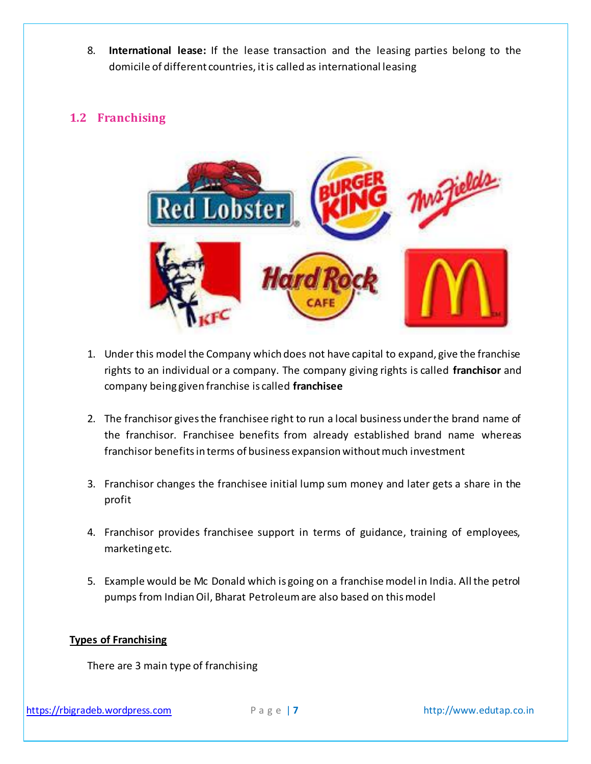8. **International lease:** If the lease transaction and the leasing parties belong to the domicile of different countries, it is called as international leasing

# <span id="page-6-0"></span>**1.2 Franchising**



- 1. Under this model the Company which does not have capital to expand, give the franchise rights to an individual or a company. The company giving rights is called **franchisor** and company being given franchise is called **franchisee**
- 2. The franchisor gives the franchisee right to run a local business under the brand name of the franchisor. Franchisee benefits from already established brand name whereas franchisor benefits in terms of business expansion without much investment
- 3. Franchisor changes the franchisee initial lump sum money and later gets a share in the profit
- 4. Franchisor provides franchisee support in terms of guidance, training of employees, marketing etc.
- 5. Example would be Mc Donald which is going on a franchise model in India. All the petrol pumps from Indian Oil, Bharat Petroleum are also based on this model

## **Types of Franchising**

There are 3 main type of franchising

[https://rbigradeb.wordpress.com](https://rbigradeb.wordpress.com/) P a g e | **7** http://www.edutap.co.in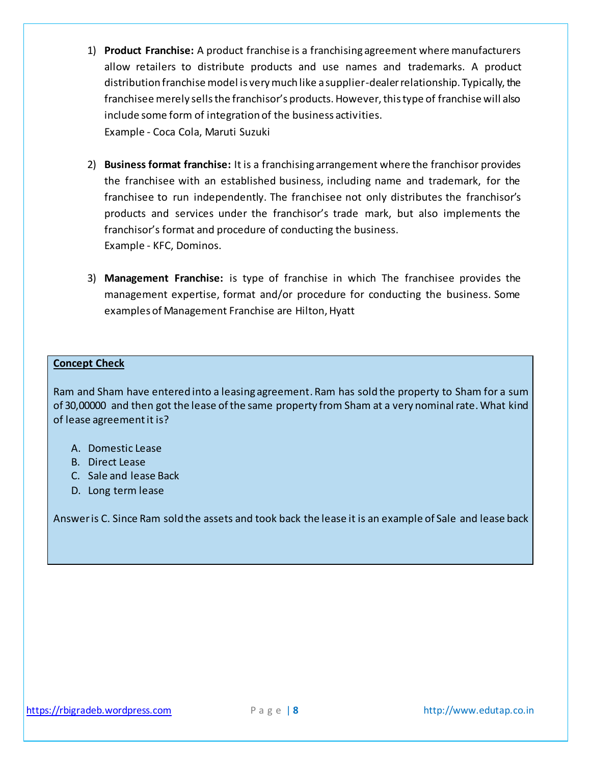- 1) **Product Franchise:** A product franchise is a franchising agreement where manufacturers allow retailers to distribute products and use names and trademarks. A product distribution franchise model is very much like a supplier-dealer relationship. Typically, the franchisee merely sells the franchisor's products. However, this type of franchise will also include some form of integration of the business activities. Example - Coca Cola, Maruti Suzuki
- 2) **Business format franchise:** It is a franchising arrangement where the franchisor provides the franchisee with an established business, including name and trademark, for the franchisee to run independently. The franchisee not only distributes the franchisor's products and services under the franchisor's trade mark, but also implements the franchisor's format and procedure of conducting the business. Example - KFC, Dominos.
- 3) **Management Franchise:** is type of franchise in which The franchisee provides the management expertise, format and/or procedure for conducting the business. Some examples of Management Franchise are Hilton, Hyatt

#### **Concept Check**

Ram and Sham have entered into a leasing agreement. Ram has sold the property to Sham for a sum of 30,00000 and then got the lease of the same property from Sham at a very nominal rate. What kind of lease agreement it is?

- A. Domestic Lease
- B. Direct Lease
- C. Sale and lease Back
- D. Long term lease

Answer is C. Since Ram sold the assets and took back the lease it is an example of Sale and lease back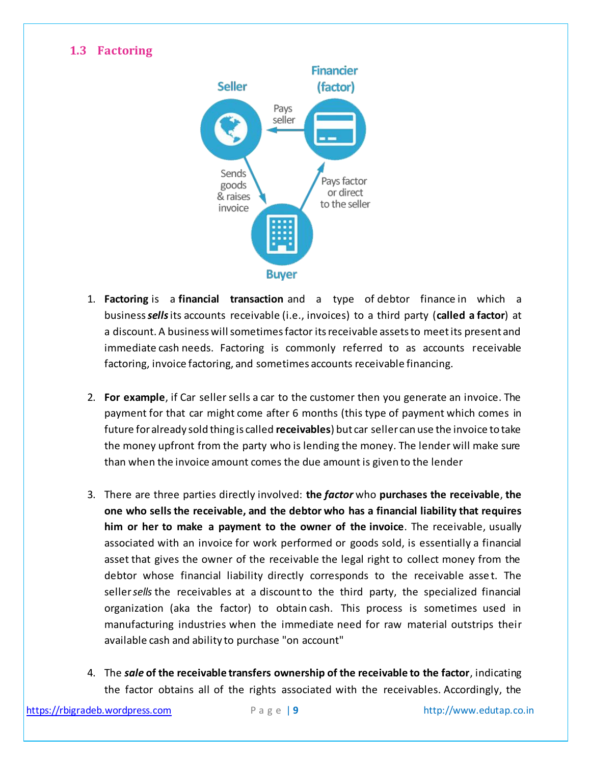# <span id="page-8-0"></span>**1.3 Factoring**



- 1. **Factoring** is a **financial transaction** and a type of debtor finance in which a business*sells*its accounts receivable (i.e., invoices) to a third party (**called a factor**) at a discount. A business will sometimes factor its receivable assets to meet its present and immediate cash needs. Factoring is commonly referred to as accounts receivable factoring, invoice factoring, and sometimes accounts receivable financing.
- 2. **For example**, if Car sellersells a car to the customer then you generate an invoice. The payment for that car might come after 6 months (this type of payment which comes in future for already sold thing is called **receivables**) but car seller can use the invoice to take the money upfront from the party who is lending the money. The lender will make sure than when the invoice amount comes the due amount is given to the lender
- 3. There are three parties directly involved: **the** *factor* who **purchases the receivable**, **the one who sells the receivable, and the debtor who has a financial liability that requires him or her to make a payment to the owner of the invoice**. The receivable, usually associated with an invoice for work performed or goods sold, is essentially a financial asset that gives the owner of the receivable the legal right to collect money from the debtor whose financial liability directly corresponds to the receivable asse t. The seller*sells* the receivables at a discountto the third party, the specialized financial organization (aka the factor) to obtain cash. This process is sometimes used in manufacturing industries when the immediate need for raw material outstrips their available cash and ability to purchase "on account"
- 4. The *sale* **of the receivable transfers ownership of the receivable to the factor**, indicating the factor obtains all of the rights associated with the receivables. Accordingly, the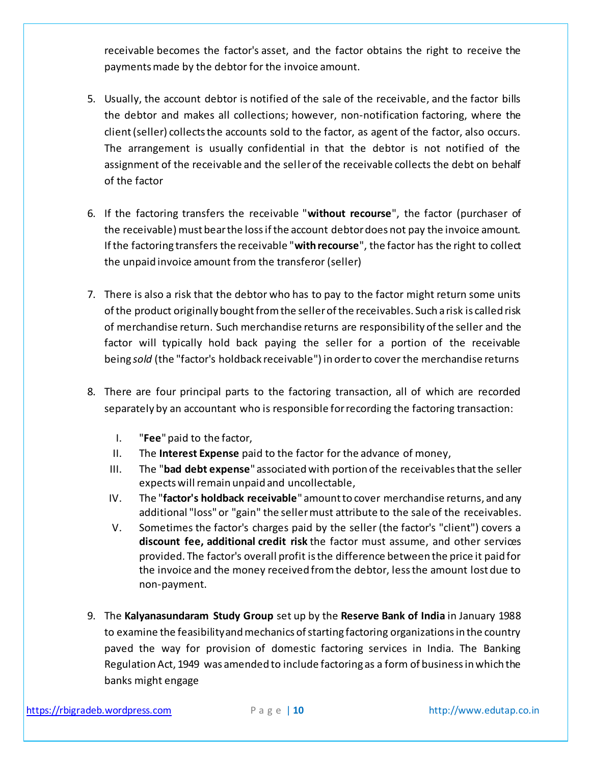receivable becomes the factor's asset, and the factor obtains the right to receive the payments made by the debtor for the invoice amount.

- 5. Usually, the account debtor is notified of the sale of the receivable, and the factor bills the debtor and makes all collections; however, non-notification factoring, where the client (seller) collects the accounts sold to the factor, as agent of the factor, also occurs. The arrangement is usually confidential in that the debtor is not notified of the assignment of the receivable and the seller of the receivable collects the debt on behalf of the factor
- 6. If the factoring transfers the receivable "**without recourse**", the factor (purchaser of the receivable) must bear the loss if the account debtor does not pay the invoice amount. If the factoring transfers the receivable "**with recourse**", the factor has the right to collect the unpaid invoice amount from the transferor (seller)
- 7. There is also a risk that the debtor who has to pay to the factor might return some units of the product originally bought from the seller of the receivables. Such a risk is called risk of merchandise return. Such merchandise returns are responsibility of the seller and the factor will typically hold back paying the seller for a portion of the receivable being *sold* (the "factor's holdback receivable") in order to cover the merchandise returns
- 8. There are four principal parts to the factoring transaction, all of which are recorded separately by an accountant who is responsible for recording the factoring transaction:
	- I. "**Fee**" paid to the factor,
	- II. The **Interest Expense** paid to the factor for the advance of money,
	- III. The "**bad debt expense**" associated with portion of the receivablesthat the seller expects will remain unpaid and uncollectable,
	- IV. The "**factor's holdback receivable**" amount to cover merchandise returns, and any additional "loss" or "gain" the seller must attribute to the sale of the receivables.
	- V. Sometimes the factor's charges paid by the seller (the factor's "client") covers a **discount fee, additional credit risk** the factor must assume, and other services provided. The factor's overall profit is the difference between the price it paid for the invoice and the money received from the debtor, less the amount lost due to non-payment.
- 9. The **Kalyanasundaram Study Group** set up by the **Reserve Bank of India** in January 1988 to examine the feasibility and mechanics of starting factoring organizations in the country paved the way for provision of domestic factoring services in India. The Banking Regulation Act, 1949 was amended to include factoring as a form of business in which the banks might engage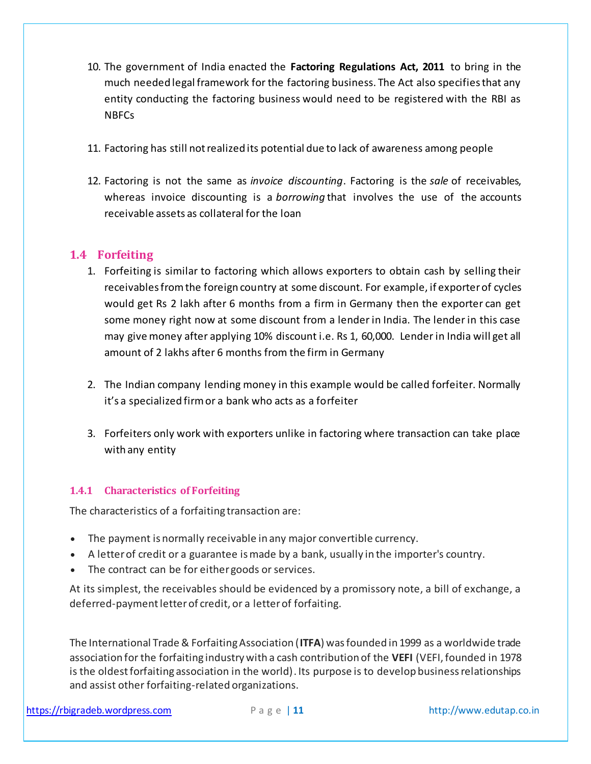- 10. The government of India enacted the **Factoring Regulations Act, 2011** to bring in the much needed legal framework for the factoring business. The Act also specifies that any entity conducting the factoring business would need to be registered with the RBI as NBFCs
- 11. Factoring has still not realized its potential due to lack of awareness among people
- 12. Factoring is not the same as *invoice discounting*. Factoring is the *sale* of receivables, whereas invoice discounting is a *borrowing* that involves the use of the accounts receivable assets as collateral for the loan

# <span id="page-10-0"></span>**1.4 Forfeiting**

- 1. Forfeiting is similar to factoring which allows exporters to obtain cash by selling their receivables from the foreign country at some discount. For example, if exporter of cycles would get Rs 2 lakh after 6 months from a firm in Germany then the exporter can get some money right now at some discount from a lender in India. The lender in this case may give money after applying 10% discount i.e. Rs 1, 60,000. Lender in India will get all amount of 2 lakhs after 6 months from the firm in Germany
- 2. The Indian company lending money in this example would be called forfeiter. Normally it's a specialized firm or a bank who acts as a forfeiter
- 3. Forfeiters only work with exporters unlike in factoring where transaction can take place with any entity

# <span id="page-10-1"></span>**1.4.1 Characteristics of Forfeiting**

The characteristics of a forfaiting transaction are:

- The payment is normally receivable in any major convertible currency.
- A letter of credit or a guarantee is made by a bank, usually in the importer's country.
- The contract can be for either goods or services.

At its simplest, the receivables should be evidenced by a promissory note, a bill of exchange, a deferred-payment letter of credit, or a letter of forfaiting.

The International Trade & Forfaiting Association (**ITFA**) wasfounded in 1999 as a worldwide trade association for the forfaiting industry with a cash contribution of the **VEFI** (VEFI, founded in 1978 is the oldest forfaiting association in the world). Its purpose is to develop business relationships and assist other forfaiting-related organizations.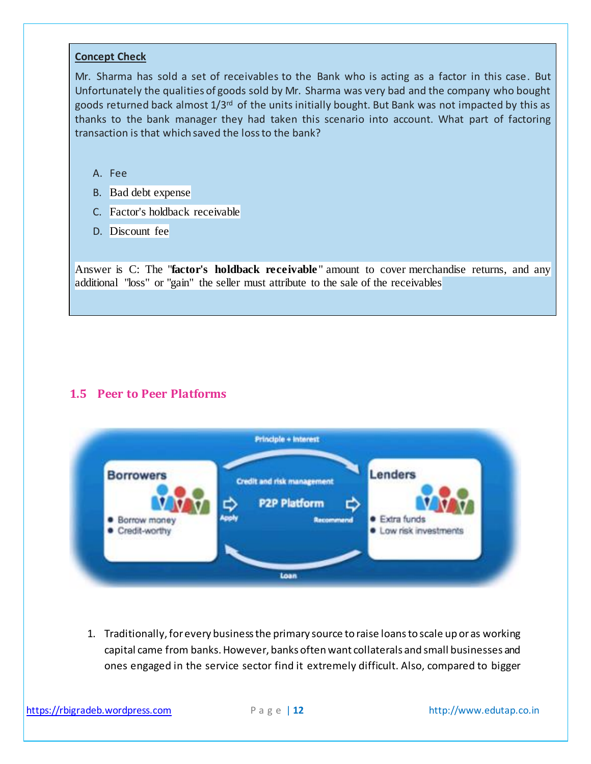#### **Concept Check**

Mr. Sharma has sold a set of receivables to the Bank who is acting as a factor in this case. But Unfortunately the qualities of goods sold by Mr. Sharma was very bad and the company who bought goods returned back almost 1/3rd of the units initially bought. But Bank was not impacted by this as thanks to the bank manager they had taken this scenario into account. What part of factoring transaction is that which saved the loss to the bank?

- A. Fee
- B. Bad debt expense
- C. Factor's holdback receivable
- D. Discount fee

Answer is C: The "**factor's holdback receivable**" amount to cover merchandise returns, and any additional "loss" or "gain" the seller must attribute to the sale of the receivables

## <span id="page-11-0"></span>**1.5 Peer to Peer Platforms**



1. Traditionally, for every business the primary source to raise loans to scale up or as working capital came from banks. However, banks often want collaterals and small businesses and ones engaged in the service sector find it extremely difficult. Also, compared to bigger

[https://rbigradeb.wordpress.com](https://rbigradeb.wordpress.com/) **Page | 12** http://www.edutap.co.in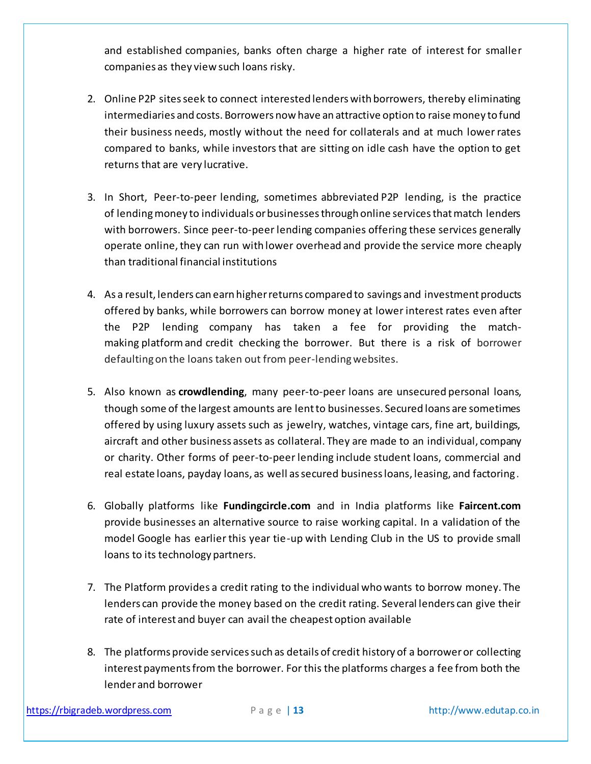and established companies, banks often charge a higher rate of interest for smaller companies as they view such loans risky.

- 2. Online P2P sites seek to connect interested lenders with borrowers, thereby eliminating intermediaries and costs. Borrowers now have an attractive option to raise money to fund their business needs, mostly without the need for collaterals and at much lower rates compared to banks, while investors that are sitting on idle cash have the option to get returns that are very lucrative.
- 3. In Short, Peer-to-peer lending, sometimes abbreviated P2P lending, is the practice of lendingmoney to individuals or businesses through online services that match lenders with borrowers. Since peer-to-peer lending companies offering these services generally operate online, they can run with lower overhead and provide the service more cheaply than traditional financial institutions
- 4. As a result, lenders can earn higher returns compared to savings and investment products offered by banks, while borrowers can borrow money at lower interest rates even after the P2P lending company has taken a fee for providing the matchmaking platformand credit checking the borrower. But there is a risk of borrower defaulting on the loans taken out from peer-lending websites.
- 5. Also known as **crowdlending**, many peer-to-peer loans are unsecured personal loans, though some of the largest amounts are lent to businesses. Secured loans are sometimes offered by using luxury assets such as jewelry, watches, vintage cars, fine art, buildings, aircraft and other business assets as collateral. They are made to an individual, company or charity. Other forms of peer-to-peer lending include student loans, commercial and real estate loans, payday loans, as well as secured business loans, leasing, and factoring.
- 6. Globally platforms like **Fundingcircle.com** and in India platforms like **Faircent.com** provide businesses an alternative source to raise working capital. In a validation of the model Google has earlier this year tie-up with Lending Club in the US to provide small loans to its technology partners.
- 7. The Platform provides a credit rating to the individual who wants to borrow money. The lenders can provide the money based on the credit rating. Several lenders can give their rate of interest and buyer can avail the cheapest option available
- 8. The platforms provide services such as details of credit history of a borrower or collecting interest payments from the borrower. For this the platforms charges a fee from both the lender and borrower

[https://rbigradeb.wordpress.com](https://rbigradeb.wordpress.com/) **Page | 13** http://www.edutap.co.in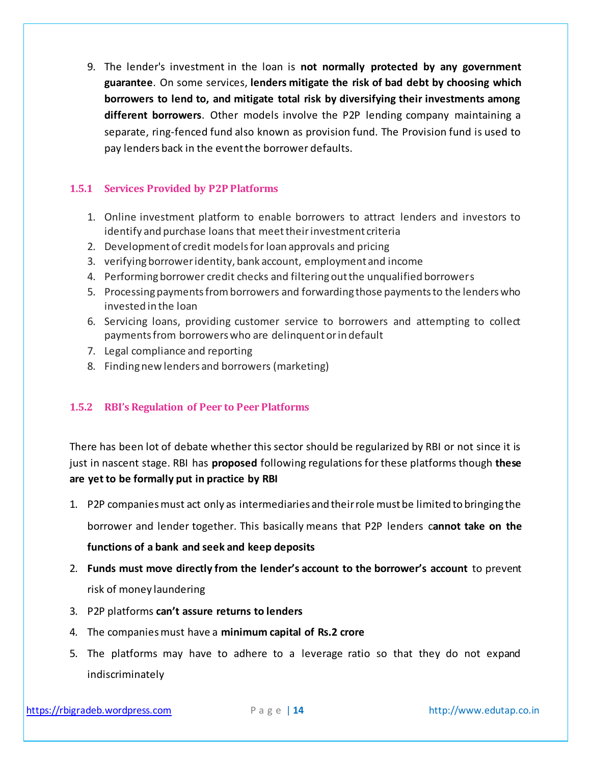9. The lender's investment in the loan is **not normally protected by any government guarantee**. On some services, **lenders mitigate the risk of bad debt by choosing which borrowers to lend to, and mitigate total risk by diversifying their investments among different borrowers**. Other models involve the P2P lending company maintaining a separate, ring-fenced fund also known as provision fund. The Provision fund is used to pay lenders back in the event the borrower defaults.

#### <span id="page-13-0"></span>**1.5.1 Services Provided by P2P Platforms**

- 1. Online investment platform to enable borrowers to attract lenders and investors to identify and purchase loans that meet their investment criteria
- 2. Development of credit models for loan approvals and pricing
- 3. verifying borrower identity, bank account, employment and income
- 4. Performing borrower credit checks and filtering out the unqualified borrowers
- 5. Processing payments from borrowers and forwarding those payments to the lenders who invested in the loan
- 6. Servicing loans, providing customer service to borrowers and attempting to collect payments from borrowers who are delinquent or in default
- 7. Legal compliance and reporting
- 8. Finding new lenders and borrowers (marketing)

## <span id="page-13-1"></span>**1.5.2 RBI's Regulation of Peer to Peer Platforms**

There has been lot of debate whether this sector should be regularized by RBI or not since it is just in nascent stage. RBI has **proposed** following regulations for these platforms though **these are yet to be formally put in practice by RBI**

1. P2P companies must act only as intermediaries and their role must be limited to bringing the

borrower and lender together. This basically means that P2P lenders c**annot take on the** 

#### **functions of a bank and seek and keep deposits**

- 2. **Funds must move directly from the lender's account to the borrower's account** to prevent risk of money laundering
- 3. P2P platforms **can't assure returns to lenders**
- 4. The companies must have a **minimum capital of Rs.2 crore**
- 5. The platforms may have to adhere to a leverage ratio so that they do not expand indiscriminately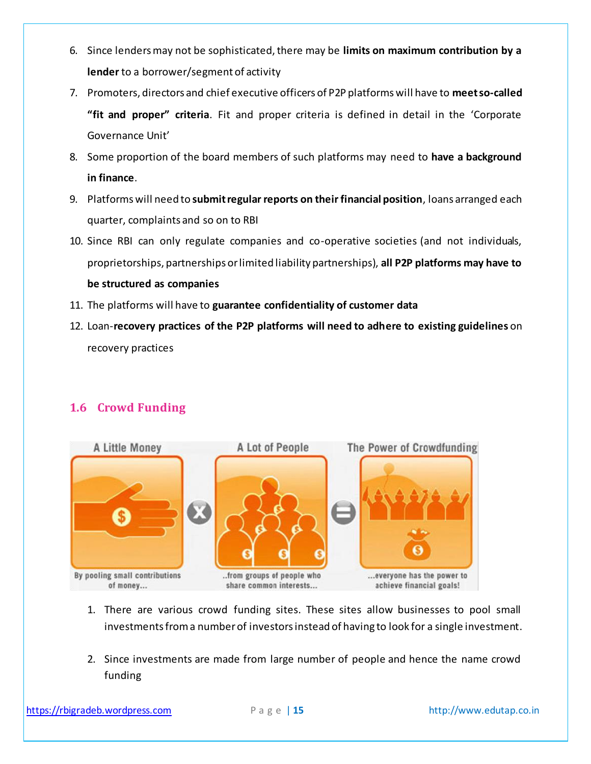- 6. Since lenders may not be sophisticated, there may be **limits on maximum contribution by a lender** to a borrower/segment of activity
- 7. Promoters, directors and chief executive officers of P2P platforms will have to **meet so-called "fit and proper" criteria**. Fit and proper criteria is defined in detail in the 'Corporate Governance Unit'
- 8. Some proportion of the board members of such platforms may need to **have a background in finance**.
- 9. Platforms will need to **submit regular reports on their financial position**, loans arranged each quarter, complaints and so on to RBI
- 10. Since RBI can only regulate companies and co-operative societies (and not individuals, proprietorships, partnerships or limited liability partnerships), **all P2P platforms may have to be structured as companies**
- 11. The platforms will have to **guarantee confidentiality of customer data**
- 12. Loan-**recovery practices of the P2P platforms will need to adhere to existing guidelines** on recovery practices

# <span id="page-14-0"></span>**1.6 Crowd Funding**



- 1. There are various crowd funding sites. These sites allow businesses to pool small investments from a number of investors instead of having to look for a single investment.
- 2. Since investments are made from large number of people and hence the name crowd funding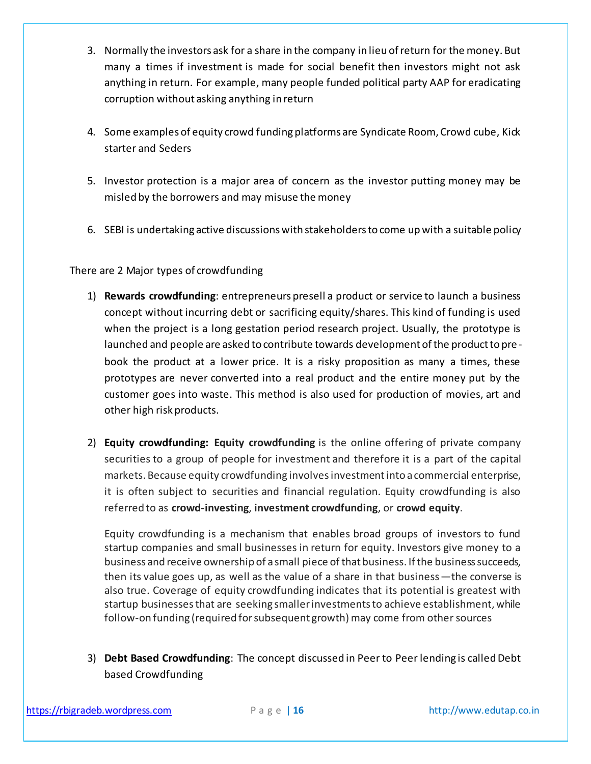- 3. Normally the investors ask for a share in the company in lieu of return for the money. But many a times if investment is made for social benefit then investors might not ask anything in return. For example, many people funded political party AAP for eradicating corruption without asking anything in return
- 4. Some examples of equity crowd funding platforms are Syndicate Room, Crowd cube, Kick starter and Seders
- 5. Investor protection is a major area of concern as the investor putting money may be misled by the borrowers and may misuse the money
- 6. SEBI is undertaking active discussions with stakeholders to come up with a suitable policy

There are 2 Major types of crowdfunding

- 1) **Rewards crowdfunding**: entrepreneurs presell a product or service to launch a business concept without incurring debt or sacrificing equity/shares. This kind of funding is used when the project is a long gestation period research project. Usually, the prototype is launched and people are asked to contribute towards development of the product to pre book the product at a lower price. It is a risky proposition as many a times, these prototypes are never converted into a real product and the entire money put by the customer goes into waste. This method is also used for production of movies, art and other high risk products.
- 2) **Equity crowdfunding: Equity crowdfunding** is the online offering of private company securities to a group of people for investment and therefore it is a part of the capital markets. Because equity crowdfunding involves investment into a commercial enterprise, it is often subject to securities and financial regulation. Equity crowdfunding is also referred to as **crowd-investing**, **investment crowdfunding**, or **crowd equity**.

Equity crowdfunding is a mechanism that enables broad groups of investors to fund startup companies and small businesses in return for equity. Investors give money to a business and receive ownership of a small piece of that business. If the business succeeds, then its value goes up, as well as the value of a share in that business—the converse is also true. Coverage of equity crowdfunding indicates that its potential is greatest with startup businesses that are seeking smaller investments to achieve establishment, while follow-on funding (required for subsequent growth) may come from other sources

3) **Debt Based Crowdfunding**: The concept discussed in Peer to Peer lending is called Debt based Crowdfunding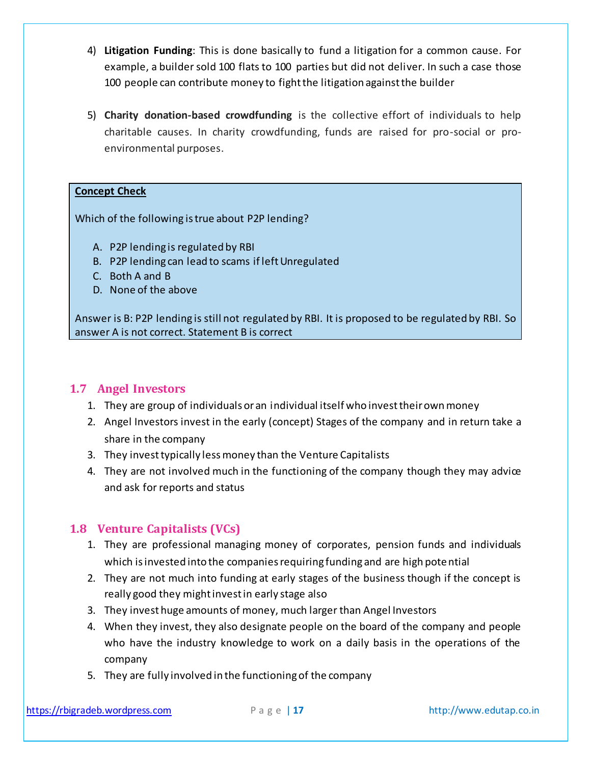- 4) **Litigation Funding**: This is done basically to fund a litigation for a common cause. For example, a builder sold 100 flats to 100 parties but did not deliver. In such a case those 100 people can contribute money to fight the litigation against the builder
- 5) **Charity donation-based crowdfunding** is the collective effort of individuals to help charitable causes. In charity crowdfunding, funds are raised for pro-social or proenvironmental purposes.

#### **Concept Check**

Which of the following is true about P2P lending?

- A. P2P lending is regulated by RBI
- B. P2P lending can lead to scams if left Unregulated
- C. Both A and B
- D. None of the above

Answer is B: P2P lending is still not regulated by RBI. It is proposed to be regulated by RBI. So answer A is not correct. Statement B is correct

## <span id="page-16-0"></span>**1.7 Angel Investors**

- 1. They are group of individuals or an individual itself who invest their own money
- 2. Angel Investors invest in the early (concept) Stages of the company and in return take a share in the company
- 3. They invest typically less money than the Venture Capitalists
- 4. They are not involved much in the functioning of the company though they may advice and ask for reports and status

# <span id="page-16-1"></span>**1.8 Venture Capitalists (VCs)**

- 1. They are professional managing money of corporates, pension funds and individuals which is invested into the companies requiring funding and are high potential
- 2. They are not much into funding at early stages of the business though if the concept is really good they might invest in early stage also
- 3. They invest huge amounts of money, much larger than Angel Investors
- 4. When they invest, they also designate people on the board of the company and people who have the industry knowledge to work on a daily basis in the operations of the company
- 5. They are fully involved in the functioning of the company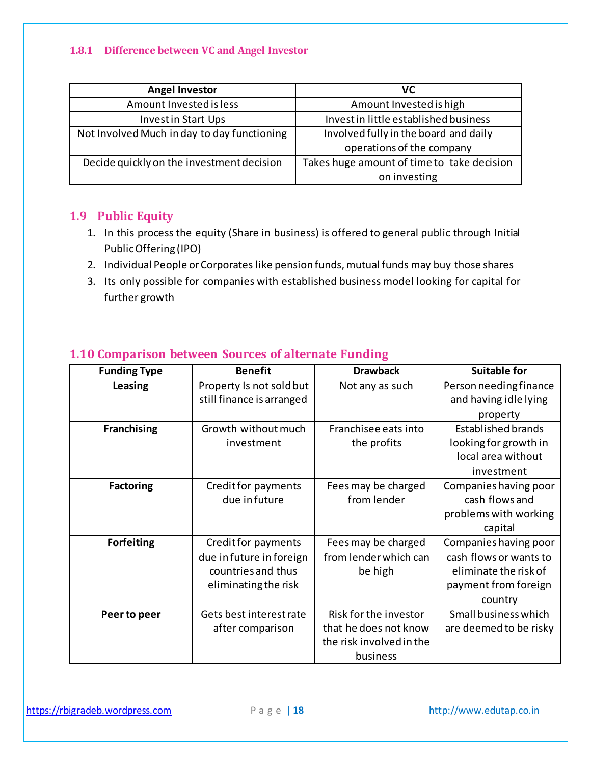#### <span id="page-17-0"></span>**1.8.1 Difference between VC and Angel Investor**

| <b>Angel Investor</b>                       | VC                                         |  |
|---------------------------------------------|--------------------------------------------|--|
| Amount Invested is less                     | Amount Invested is high                    |  |
| <b>Investin Start Ups</b>                   | Invest in little established business      |  |
| Not Involved Much in day to day functioning | Involved fully in the board and daily      |  |
|                                             | operations of the company                  |  |
| Decide quickly on the investment decision   | Takes huge amount of time to take decision |  |
|                                             | on investing                               |  |

## <span id="page-17-1"></span>**1.9 Public Equity**

- 1. In this process the equity (Share in business) is offered to general public through Initial Public Offering (IPO)
- 2. Individual People or Corporates like pension funds, mutual funds may buy those shares
- 3. Its only possible for companies with established business model looking for capital for further growth

| <b>Funding Type</b> | <b>Benefit</b>            | <b>Drawback</b>          | <b>Suitable for</b>    |
|---------------------|---------------------------|--------------------------|------------------------|
| Leasing             | Property Is not sold but  | Not any as such          | Person needing finance |
|                     | still finance is arranged |                          | and having idle lying  |
|                     |                           |                          | property               |
| <b>Franchising</b>  | Growth without much       | Franchisee eats into     | Established brands     |
|                     | investment                | the profits              | looking for growth in  |
|                     |                           |                          | local area without     |
|                     |                           |                          | investment             |
| <b>Factoring</b>    | Credit for payments       | Fees may be charged      | Companies having poor  |
|                     | due in future             | from lender              | cash flows and         |
|                     |                           |                          | problems with working  |
|                     |                           |                          | capital                |
| <b>Forfeiting</b>   | Credit for payments       | Fees may be charged      | Companies having poor  |
|                     | due in future in foreign  | from lender which can    | cash flows or wants to |
|                     | countries and thus        | be high                  | eliminate the risk of  |
|                     | eliminating the risk      |                          | payment from foreign   |
|                     |                           |                          | country                |
| Peer to peer        | Gets best interest rate   | Risk for the investor    | Small business which   |
|                     | after comparison          | that he does not know    | are deemed to be risky |
|                     |                           | the risk involved in the |                        |
|                     |                           | business                 |                        |

# <span id="page-17-2"></span>**1.10 Comparison between Sources of alternate Funding**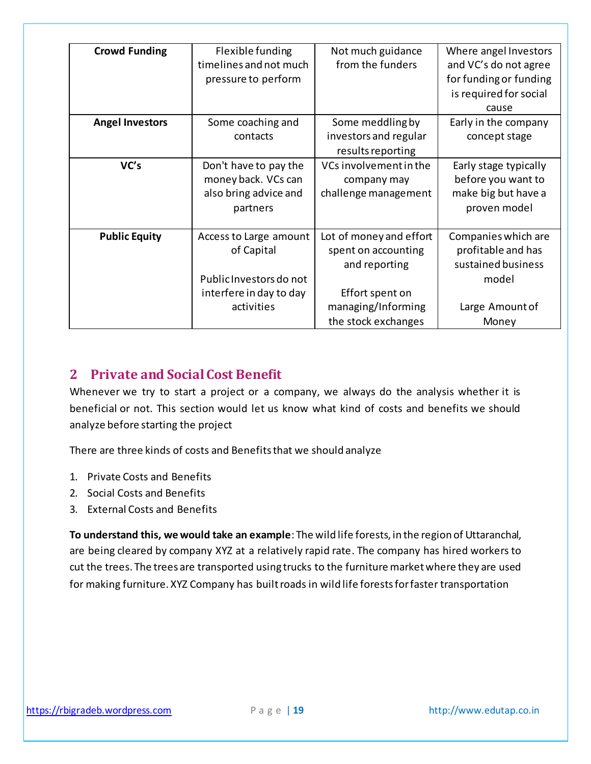| <b>Crowd Funding</b>   | Flexible funding        | Not much guidance       | Where angel Investors  |
|------------------------|-------------------------|-------------------------|------------------------|
|                        | timelines and not much  | from the funders        | and VC's do not agree  |
|                        | pressure to perform     |                         | for funding or funding |
|                        |                         |                         | is required for social |
|                        |                         |                         | cause                  |
| <b>Angel Investors</b> | Some coaching and       | Some meddling by        | Early in the company   |
|                        | contacts                | investors and regular   | concept stage          |
|                        |                         | results reporting       |                        |
| VC's                   | Don't have to pay the   | VCs involvement in the  | Early stage typically  |
|                        | money back. VCs can     | company may             | before you want to     |
|                        | also bring advice and   | challenge management    | make big but have a    |
|                        | partners                |                         | proven model           |
|                        |                         |                         |                        |
| <b>Public Equity</b>   | Access to Large amount  | Lot of money and effort | Companies which are    |
|                        | of Capital              | spent on accounting     | profitable and has     |
|                        |                         | and reporting           | sustained business     |
|                        | Public Investors do not |                         | model                  |
|                        | interfere in day to day | Effort spent on         |                        |
|                        | activities              | managing/Informing      | Large Amount of        |
|                        |                         | the stock exchanges     | Money                  |

# <span id="page-18-0"></span>**2 Private and Social Cost Benefit**

Whenever we try to start a project or a company, we always do the analysis whether it is beneficial or not. This section would let us know what kind of costs and benefits we should analyze before starting the project

There are three kinds of costs and Benefits that we should analyze

- 1. Private Costs and Benefits
- 2. Social Costs and Benefits
- 3. External Costs and Benefits

**To understand this, we would take an example**: The wild life forests, in the region of Uttaranchal, are being cleared by company XYZ at a relatively rapid rate. The company has hired workers to cut the trees. The trees are transported using trucks to the furniture market where they are used for making furniture. XYZ Company has built roads in wild life forests for faster transportation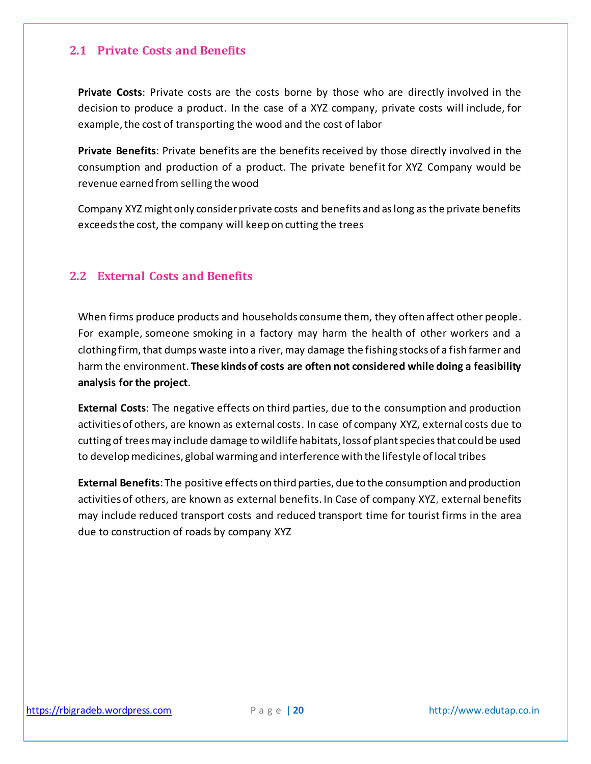#### <span id="page-19-0"></span>**2.1 Private Costs and Benefits**

**Private Costs**: Private costs are the costs borne by those who are directly involved in the decision to produce a product. In the case of a XYZ company, private costs will include, for example, the cost of transporting the wood and the cost of labor

**Private Benefits**: Private benefits are the benefits received by those directly involved in the consumption and production of a product. The private benefit for XYZ Company would be revenue earned from selling the wood

Company XYZ might only consider private costs and benefits and as long as the private benefits exceeds the cost, the company will keep on cutting the trees

## <span id="page-19-1"></span>**2.2 External Costs and Benefits**

When firms produce products and households consume them, they often affect other people. For example, someone smoking in a factory may harm the health of other workers and a clothing firm, that dumps waste into a river, may damage the fishing stocks of a fish farmer and harm the environment. **These kinds of costs are often not considered while doing a feasibility analysis for the project**.

**External Costs**: The negative effects on third parties, due to the consumption and production activities of others, are known as external costs. In case of company XYZ, external costs due to cutting of trees may include damage to wildlife habitats, loss of plant species that could be used to develop medicines, global warming and interference with the lifestyle of local tribes

**External Benefits**: The positive effects on third parties, due to the consumption and production activities of others, are known as external benefits. In Case of company XYZ, external benefits may include reduced transport costs and reduced transport time for tourist firms in the area due to construction of roads by company XYZ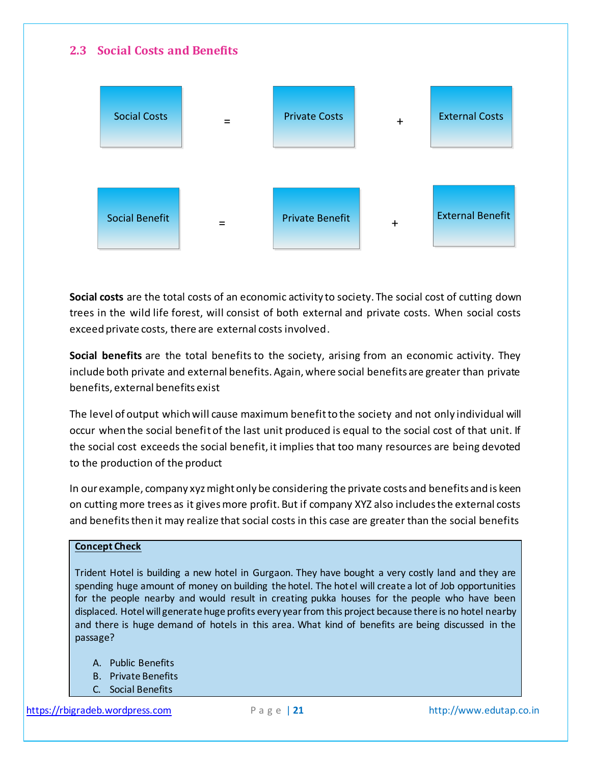# <span id="page-20-0"></span>**2.3 Social Costs and Benefits**



**Social costs** are the total costs of an economic activity to society. The social cost of cutting down trees in the wild life forest, will consist of both external and private costs. When social costs exceed private costs, there are external costs involved.

**Social benefits** are the total benefits to the society, arising from an economic activity. They include both private and external benefits. Again, where social benefits are greater than private benefits, external benefits exist

The level of output which will cause maximum benefit to the society and not only individual will occur when the social benefit of the last unit produced is equal to the social cost of that unit. If the social cost exceeds the social benefit, it implies that too many resources are being devoted to the production of the product

In our example, company xyz might only be considering the private costs and benefits and is keen on cutting more trees as it gives more profit. But if company XYZ also includes the external costs and benefits then it may realize that social costs in this case are greater than the social benefits

#### **Concept Check**

Trident Hotel is building a new hotel in Gurgaon. They have bought a very costly land and they are spending huge amount of money on building the hotel. The hotel will create a lot of Job opportunities for the people nearby and would result in creating pukka houses for the people who have been displaced. Hotel will generate huge profits every year from this project because there is no hotel nearby and there is huge demand of hotels in this area. What kind of benefits are being discussed in the passage?

- A. Public Benefits
- B. Private Benefits
- C. Social Benefits

[https://rbigradeb.wordpress.com](https://rbigradeb.wordpress.com/) **Page | 21** http://www.edutap.co.in